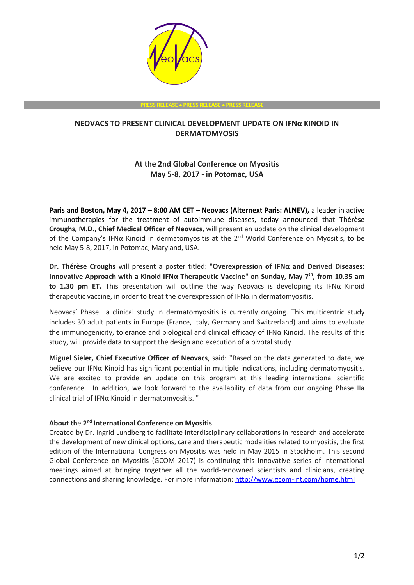

**PRESS RELEASE** • **PRESS RELEASE** • **PRESS RELEASE**

## **NEOVACS TO PRESENT CLINICAL DEVELOPMENT UPDATE ON IFNα KINOID IN DERMATOMYOSIS**

# **At the 2nd Global Conference on Myositis May 5-8, 2017 - in Potomac, USA**

**Paris and Boston, May 4, 2017 – 8:00 AM CET – Neovacs (Alternext Paris: ALNEV),** a leader in active immunotherapies for the treatment of autoimmune diseases, today announced that **Thérèse Croughs, M.D., Chief Medical Officer of Neovacs,** will present an update on the clinical development of the Company's IFNα Kinoid in dermatomyositis at the 2<sup>nd</sup> World Conference on Myositis, to be held May 5-8, 2017, in Potomac, Maryland, USA.

**Dr. Thérèse Croughs** will present a poster titled: "**Overexpression of IFNα and Derived Diseases: Innovative Approach with a Kinoid IFNα Therapeutic Vaccine**" **on Sunday, May 7th , from 10.35 am to 1.30 pm ET.** This presentation will outline the way Neovacs is developing its IFNα Kinoid therapeutic vaccine, in order to treat the overexpression of IFNα in dermatomyositis.

Neovacs' Phase IIa clinical study in dermatomyositis is currently ongoing. This multicentric study includes 30 adult patients in Europe (France, Italy, Germany and Switzerland) and aims to evaluate the immunogenicity, tolerance and biological and clinical efficacy of IFNα Kinoid. The results of this study, will provide data to support the design and execution of a pivotal study.

**Miguel Sieler, Chief Executive Officer of Neovacs**, said: "Based on the data generated to date, we believe our IFNα Kinoid has significant potential in multiple indications, including dermatomyositis. We are excited to provide an update on this program at this leading international scientific conference. In addition, we look forward to the availability of data from our ongoing Phase IIa clinical trial of IFNα Kinoid in dermatomyositis. "

### **About th**e **2 nd International Conference on Myositis**

Created by Dr. Ingrid Lundberg to facilitate interdisciplinary collaborations in research and accelerate the development of new clinical options, care and therapeutic modalities related to myositis, the first edition of the International Congress on Myositis was held in May 2015 in Stockholm. This second Global Conference on Myositis (GCOM 2017) is continuing this innovative series of international meetings aimed at bringing together all the world-renowned scientists and clinicians, creating connections and sharing knowledge. For more information:<http://www.gcom-int.com/home.html>